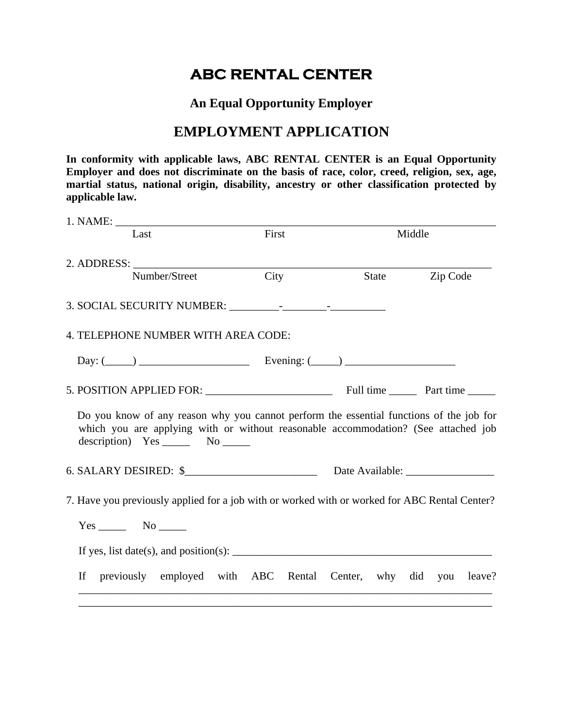# **ABC RENTAL CENTER**

**An Equal Opportunity Employer** 

## **EMPLOYMENT APPLICATION**

**In conformity with applicable laws, ABC RENTAL CENTER is an Equal Opportunity Employer and does not discriminate on the basis of race, color, creed, religion, sex, age, martial status, national origin, disability, ancestry or other classification protected by applicable law.** 

| Last                                                                                                                                                                                                                       | First | Middle                           |  |          |  |
|----------------------------------------------------------------------------------------------------------------------------------------------------------------------------------------------------------------------------|-------|----------------------------------|--|----------|--|
| 2. ADDRESS:                                                                                                                                                                                                                |       |                                  |  |          |  |
| Number/Street                                                                                                                                                                                                              | City  | State                            |  | Zip Code |  |
|                                                                                                                                                                                                                            |       |                                  |  |          |  |
| 4. TELEPHONE NUMBER WITH AREA CODE:                                                                                                                                                                                        |       |                                  |  |          |  |
| Day: $(\_\_\_\_\_\_\_\_\_\_\_\$ Evening: $(\_\_\_\_\_\_\_\_\_\_\_\_\_\_$                                                                                                                                                   |       |                                  |  |          |  |
|                                                                                                                                                                                                                            |       |                                  |  |          |  |
| Do you know of any reason why you cannot perform the essential functions of the job for<br>which you are applying with or without reasonable accommodation? (See attached job<br>description) $Yes \_\_\_\_$ No $\_\_\_\_$ |       |                                  |  |          |  |
| $6. SALARY DESIRED:$ $\frac{1}{2}$                                                                                                                                                                                         |       | Date Available: ________________ |  |          |  |
| 7. Have you previously applied for a job with or worked with or worked for ABC Rental Center?                                                                                                                              |       |                                  |  |          |  |
| $Yes$ No                                                                                                                                                                                                                   |       |                                  |  |          |  |
| If yes, list date(s), and position(s): $\frac{1}{1}$                                                                                                                                                                       |       |                                  |  |          |  |
| previously employed with ABC Rental Center, why did you leave?<br>If                                                                                                                                                       |       |                                  |  |          |  |

\_\_\_\_\_\_\_\_\_\_\_\_\_\_\_\_\_\_\_\_\_\_\_\_\_\_\_\_\_\_\_\_\_\_\_\_\_\_\_\_\_\_\_\_\_\_\_\_\_\_\_\_\_\_\_\_\_\_\_\_\_\_\_\_\_\_\_\_\_\_\_\_\_\_\_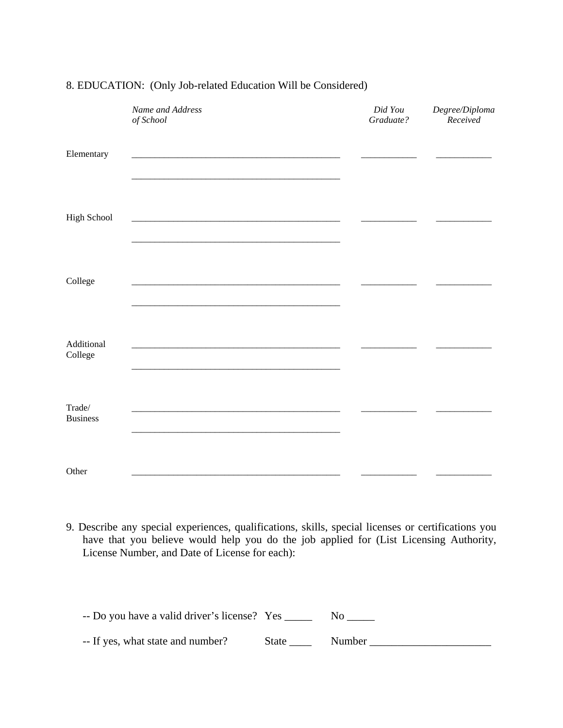|                           | Name and Address<br>of School | Did You<br>Graduate? | Degree/Diploma<br>Received |
|---------------------------|-------------------------------|----------------------|----------------------------|
| Elementary                |                               |                      |                            |
| High School               |                               |                      |                            |
| College                   |                               |                      |                            |
| Additional<br>College     |                               |                      |                            |
| Trade/<br><b>Business</b> |                               |                      |                            |
| Other                     |                               |                      |                            |

#### 8. EDUCATION: (Only Job-related Education Will be Considered)

9. Describe any special experiences, qualifications, skills, special licenses or certifications you have that you believe would help you do the job applied for (List Licensing Authority, License Number, and Date of License for each):

| -- Do you have a valid driver's license? Yes |       |        |
|----------------------------------------------|-------|--------|
| -- If yes, what state and number?            | State | Number |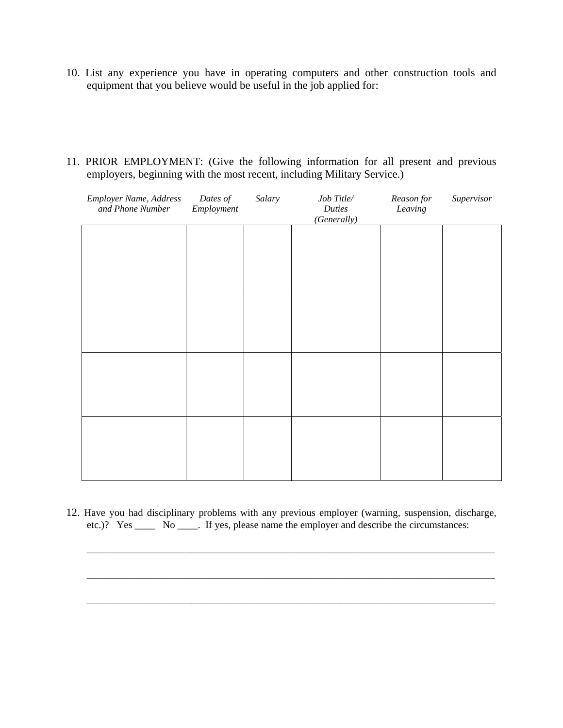- 10. List any experience you have in operating computers and other construction tools and equipment that you believe would be useful in the job applied for:
- 11. PRIOR EMPLOYMENT: (Give the following information for all present and previous employers, beginning with the most recent, including Military Service.)

| Employer Name, Address<br>and Phone Number | Dates of<br>Employment | Salary | Job Title/<br><b>Duties</b><br>(Generally) | Reason for<br>Leaving | Supervisor |
|--------------------------------------------|------------------------|--------|--------------------------------------------|-----------------------|------------|
|                                            |                        |        |                                            |                       |            |
|                                            |                        |        |                                            |                       |            |
|                                            |                        |        |                                            |                       |            |
|                                            |                        |        |                                            |                       |            |
|                                            |                        |        |                                            |                       |            |
|                                            |                        |        |                                            |                       |            |
|                                            |                        |        |                                            |                       |            |
|                                            |                        |        |                                            |                       |            |

12. Have you had disciplinary problems with any previous employer (warning, suspension, discharge, etc.)? Yes \_\_\_\_ No \_\_\_\_. If yes, please name the employer and describe the circumstances:

 $\overline{\phantom{a}}$  , and the contribution of the contribution of the contribution of the contribution of the contribution of the contribution of the contribution of the contribution of the contribution of the contribution of the

 $\overline{\phantom{a}}$  ,  $\overline{\phantom{a}}$  ,  $\overline{\phantom{a}}$  ,  $\overline{\phantom{a}}$  ,  $\overline{\phantom{a}}$  ,  $\overline{\phantom{a}}$  ,  $\overline{\phantom{a}}$  ,  $\overline{\phantom{a}}$  ,  $\overline{\phantom{a}}$  ,  $\overline{\phantom{a}}$  ,  $\overline{\phantom{a}}$  ,  $\overline{\phantom{a}}$  ,  $\overline{\phantom{a}}$  ,  $\overline{\phantom{a}}$  ,  $\overline{\phantom{a}}$  ,  $\overline{\phantom{a}}$ 

 $\overline{\phantom{a}}$  , and the contribution of the contribution of the contribution of the contribution of the contribution of the contribution of the contribution of the contribution of the contribution of the contribution of the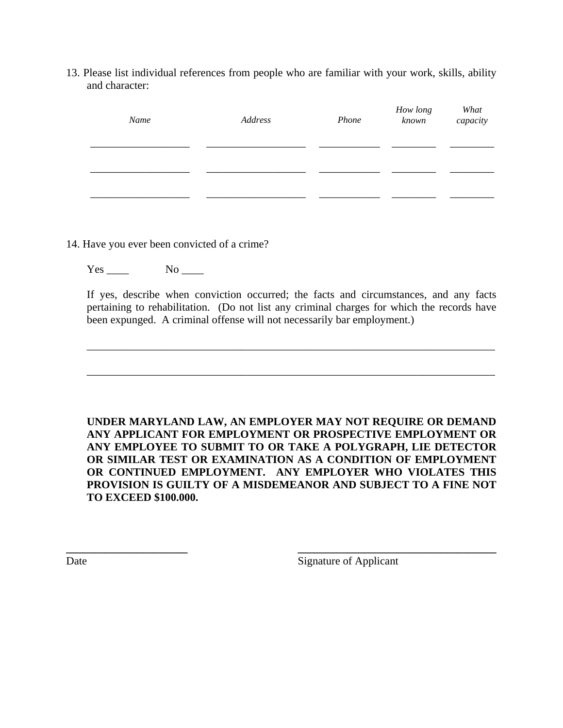13. Please list individual references from people who are familiar with your work, skills, ability and character:

| Name | Address | Phone | How long<br>known | What<br>capacity |
|------|---------|-------|-------------------|------------------|
|      |         |       |                   |                  |
|      |         |       |                   |                  |

14. Have you ever been convicted of a crime?

Yes No

 If yes, describe when conviction occurred; the facts and circumstances, and any facts pertaining to rehabilitation. (Do not list any criminal charges for which the records have been expunged. A criminal offense will not necessarily bar employment.)

 $\overline{\phantom{a}}$  , and the contribution of the contribution of the contribution of the contribution of the contribution of the contribution of the contribution of the contribution of the contribution of the contribution of the

\_\_\_\_\_\_\_\_\_\_\_\_\_\_\_\_\_\_\_\_\_\_\_\_\_\_\_\_\_\_\_\_\_\_\_\_\_\_\_\_\_\_\_\_\_\_\_\_\_\_\_\_\_\_\_\_\_\_\_\_\_\_\_\_\_\_\_\_\_\_\_\_\_\_

**UNDER MARYLAND LAW, AN EMPLOYER MAY NOT REQUIRE OR DEMAND ANY APPLICANT FOR EMPLOYMENT OR PROSPECTIVE EMPLOYMENT OR ANY EMPLOYEE TO SUBMIT TO OR TAKE A POLYGRAPH, LIE DETECTOR OR SIMILAR TEST OR EXAMINATION AS A CONDITION OF EMPLOYMENT OR CONTINUED EMPLOYMENT. ANY EMPLOYER WHO VIOLATES THIS PROVISION IS GUILTY OF A MISDEMEANOR AND SUBJECT TO A FINE NOT TO EXCEED \$100.000.** 

**\_\_\_\_\_\_\_\_\_\_\_\_\_\_\_\_\_\_\_\_\_\_ \_\_\_\_\_\_\_\_\_\_\_\_\_\_\_\_\_\_\_\_\_\_\_\_\_\_\_\_\_\_\_\_\_\_\_\_** 

Date Signature of Applicant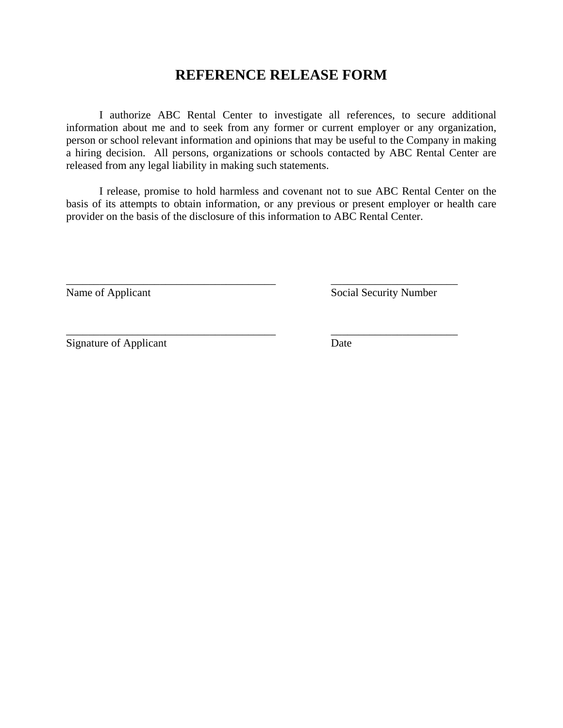## **REFERENCE RELEASE FORM**

 I authorize ABC Rental Center to investigate all references, to secure additional information about me and to seek from any former or current employer or any organization, person or school relevant information and opinions that may be useful to the Company in making a hiring decision. All persons, organizations or schools contacted by ABC Rental Center are released from any legal liability in making such statements.

 I release, promise to hold harmless and covenant not to sue ABC Rental Center on the basis of its attempts to obtain information, or any previous or present employer or health care provider on the basis of the disclosure of this information to ABC Rental Center.

\_\_\_\_\_\_\_\_\_\_\_\_\_\_\_\_\_\_\_\_\_\_\_\_\_\_\_\_\_\_\_\_\_\_\_\_\_\_ \_\_\_\_\_\_\_\_\_\_\_\_\_\_\_\_\_\_\_\_\_\_\_

\_\_\_\_\_\_\_\_\_\_\_\_\_\_\_\_\_\_\_\_\_\_\_\_\_\_\_\_\_\_\_\_\_\_\_\_\_\_ \_\_\_\_\_\_\_\_\_\_\_\_\_\_\_\_\_\_\_\_\_\_\_

Name of Applicant Social Security Number

Signature of Applicant Date